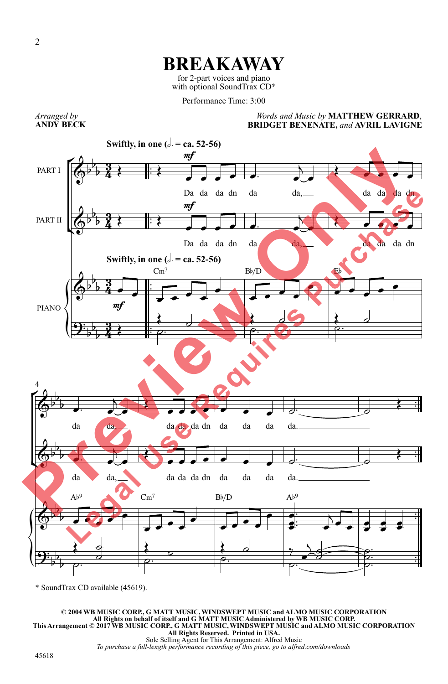## **BREAKAWAY**

for 2-part voices and piano with optional SoundTrax CD\*

Performance Time: 3:00

*Arranged by* **ANDY BECK**

*Words and Music by* **MATTHEW GERRARD**, **BRIDGET BENENATE,** *and* **AVRIL LAVIGNE**



\* SoundTrax CD available (45619).

© 2004 WB MUSIC CORP, G MATT MUSIC, WINDSWEPT MUSIC and ALMO MUSIC CORPORATION<br>All Rights on behalf of itself and G MATT MUSIC Administered by WB MUSIC CORP.<br>This Arrangement © 2017 WB MUSIC CORP, G MATT MUSIC, WINDSWEPT M *To purchase a full-length performance recording of this piece, go to alfred.com/downloads*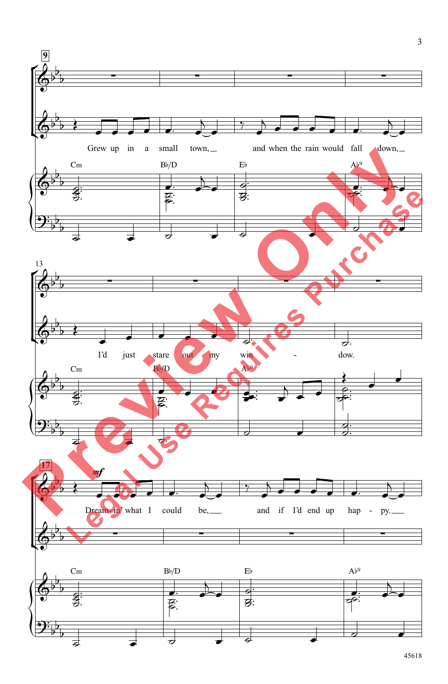

3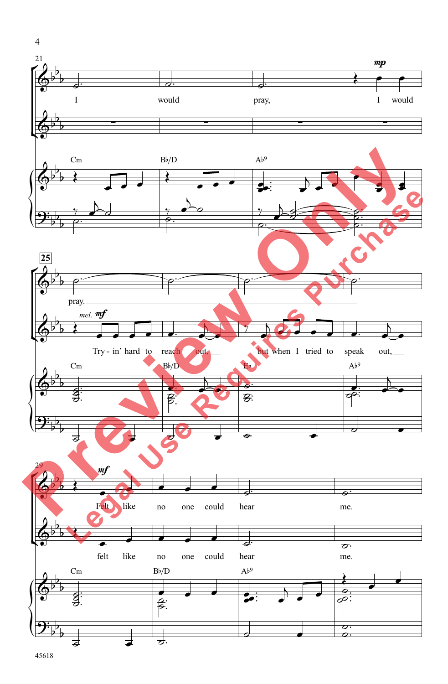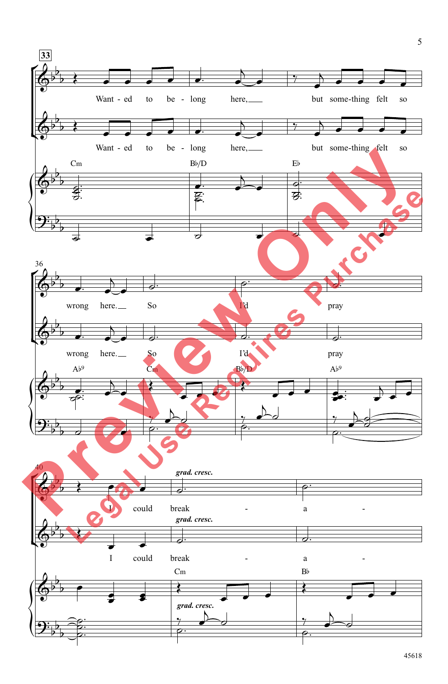

45618

5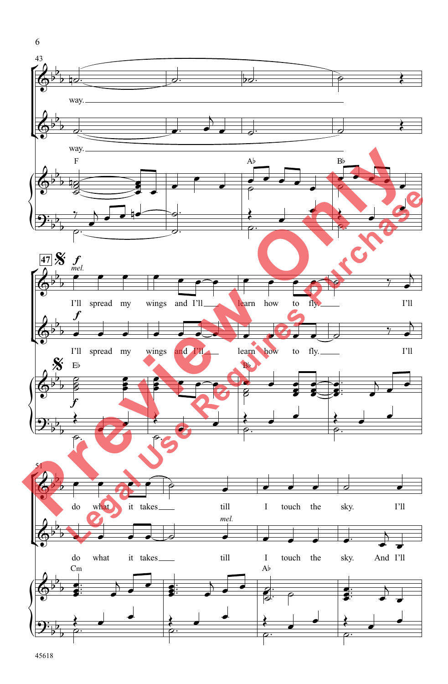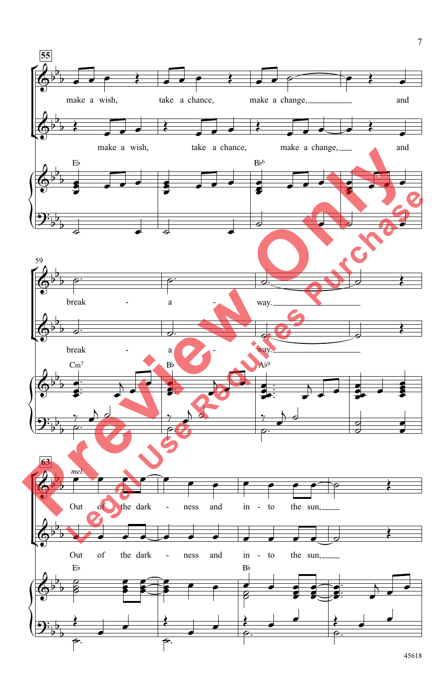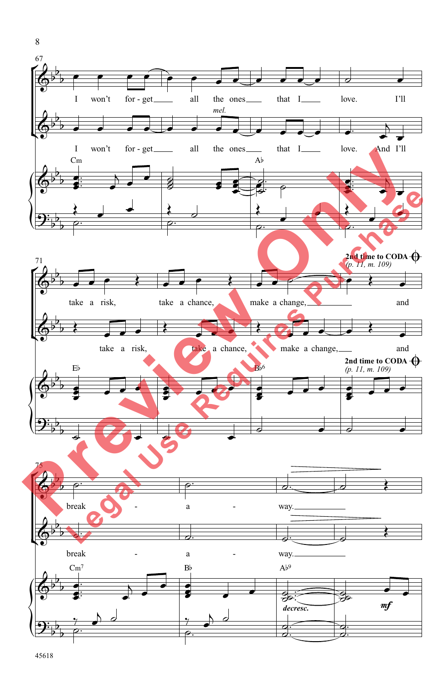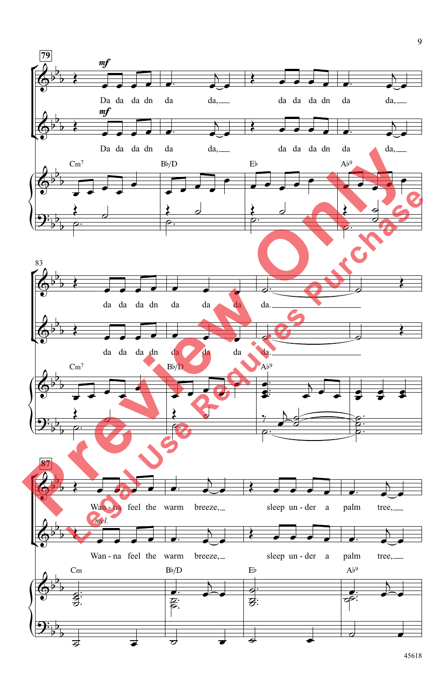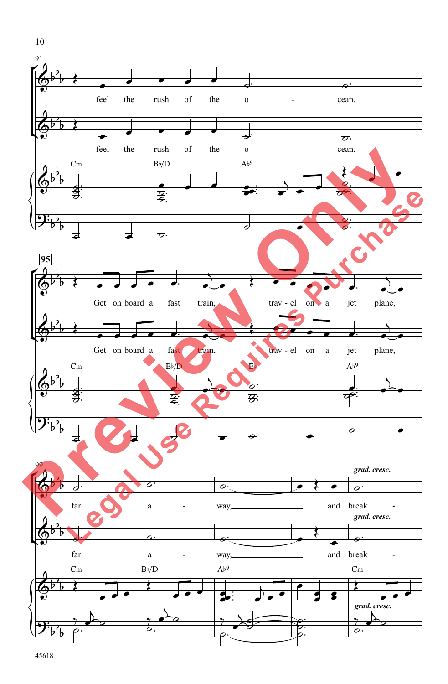